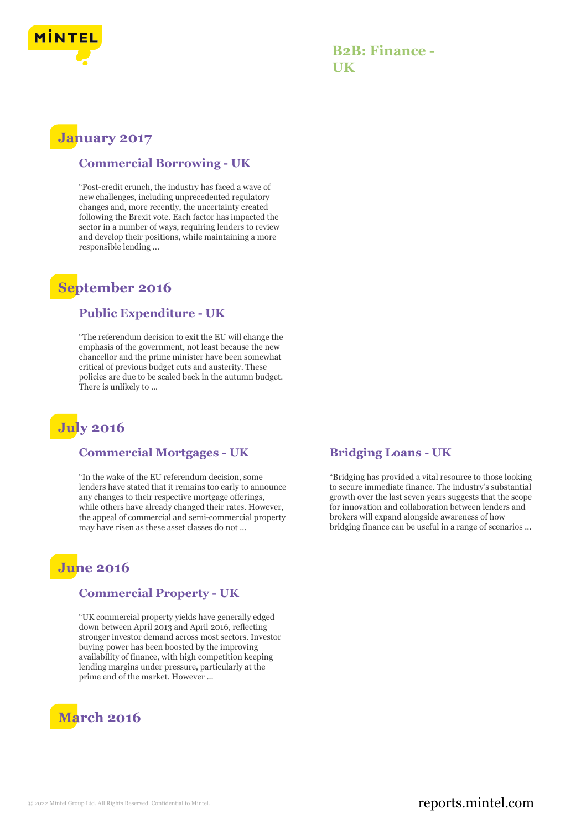

### **B2B: Finance - UK**

# **January 2017**

### **Commercial Borrowing - UK**

"Post-credit crunch, the industry has faced a wave of new challenges, including unprecedented regulatory changes and, more recently, the uncertainty created following the Brexit vote. Each factor has impacted the sector in a number of ways, requiring lenders to review and develop their positions, while maintaining a more responsible lending ...

## **September 2016**

#### **Public Expenditure - UK**

"The referendum decision to exit the EU will change the emphasis of the government, not least because the new chancellor and the prime minister have been somewhat critical of previous budget cuts and austerity. These policies are due to be scaled back in the autumn budget. There is unlikely to ...

# **July 2016**

#### **Commercial Mortgages - UK**

"In the wake of the EU referendum decision, some lenders have stated that it remains too early to announce any changes to their respective mortgage offerings, while others have already changed their rates. However, the appeal of commercial and semi‑commercial property may have risen as these asset classes do not ...

## **June 2016**

#### **Commercial Property - UK**

"UK commercial property yields have generally edged down between April 2013 and April 2016, reflecting stronger investor demand across most sectors. Investor buying power has been boosted by the improving availability of finance, with high competition keeping lending margins under pressure, particularly at the prime end of the market. However ...



#### **Bridging Loans - UK**

"Bridging has provided a vital resource to those looking to secure immediate finance. The industry's substantial growth over the last seven years suggests that the scope for innovation and collaboration between lenders and brokers will expand alongside awareness of how bridging finance can be useful in a range of scenarios ...